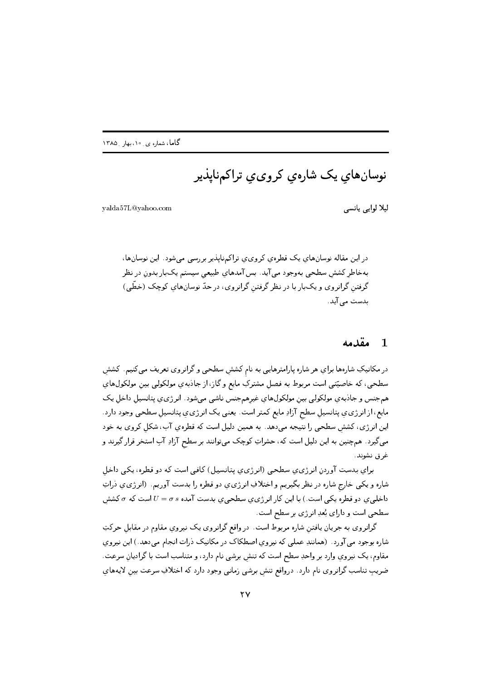نوسان های یک شارهی کروی،ی تراکمهناپذیر

yalda57L@yahoo.com

ليلا لوايبي يانسي

در این مقاله نوسانهای یک قطرهی کروی ی تراکمناپذیر بررسی می شود. این نوسانها، بهخاطر کشش سطحی بهوجود می آید. بس آمدهای طبیعی سیستم یکبار بدون در نظر گرفتن گرانروی و یکبار با در نظر گرفتن گرانروی، در حدّ نوسانهای کوچک (خطّی) بدست مے آید.

#### مقدمه  $\blacksquare$

در مکانیکِ شارهها برایِ هر شاره پارامترهایی به نام کشش سطحی و گرانروی تعریف میکنیم. کشش سطحی، که خاصیّتی است مربوط به فصل مشترکِ مایع و گاز، از جاذبهی مولکولیی بین مولکولهای همجنس و جاذبه ی مولکولی بین مولکولهای غیرهمجنس ناشی میشود. انرژی ی پتانسیل داخل یک مایع، از انرژی ی پتانسیل سطح آزادِ مایع کمتر است. یعنبی یک انرژی ی پتانسیل سطحی وجود دارد. این انرژی، کشش سطحی را نتیجه میدهد. به همین دلیل است که قطرهیِ آب، شکل کروی به خود میگیرد. همچنین به این دلیل است که، حشراتِ کوچک میتوانند بر سطح آزادِ آبِ استخر قرار گیرند و غرق نشوند.

برای بدست آوردن انرژی ی سطحی (انرژی ی پتانسیل) کافی است که دو قطره، یکی داخل شاره و يکي خارج شاره در نظر بگيريم و اختلافِ انرژى ي دو قطره را بدست آوريم. (انرژى ي ذراتِ داخلی ی دو قطره یکی است.) با این کار انرژی ی سطحی ی بدست آمده  $\sigma s$  =  $U$  است که  $\sigma$  کشش سطحی است و دارای بُعدِ انرژی بر سطح است.

گرانروی به جریان یافتن شاره مربوط است. در واقع گرانروی یک نیروی مقاوم در مقابل حرکتِ شاره بوجود می آورد . (همانندِ عملی که نیروی اصطکاک در مکانیک ذرات انجام میدهد.) این نیروی مقاوم، يک نيروي وارد بر واحدِ سطح است که تنش برشي نام دارد، و متناسب است با گراديانِ سرعت. ضریب تناسب گرانروی نام دارد . درواقع تنش برشی زمانی وجود دارد که اختلافِ سرعت بین لایههای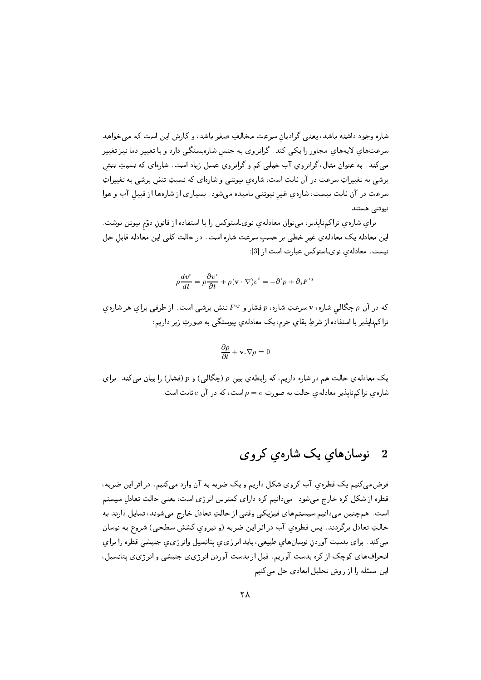شاره وجود داشته باشد، یعنبی گرادیان سرعت مخالفِ صفر باشد، و کارش این است که می خواهد سرعتهای لایههای مجاور را یکی کند. گرانروی به جنس شارهبستگی دارد و با تغییر دما نیز تغییر میکند. به عنوانِ مثال، گرانروي آب خيلی کم و گرانروي عسل زياد است. شارهای که نسبتِ تنش برشي به تغييراتِ سرعت در آن ثابت است، شارهي نيوتني و شارهاي كه نسبتِ تنش برشي به تغييراتِ سرعت در آن ثابت نیست، شارهی غیر نیوتنی نامیده میشود. بسیاری از شارهها از قبیل آب و هوا نيوتني هستند.

برای شارهی تراکمناپذیر، میتوان معادلهیِ نویLستوکس را با استفاده از قانونِ دوّم نیوتن نوشت. این معادله یک معادلهی غیر خطی بر حسب سرعتِ شاره است. در حالتِ کلی این معادله قابل حل نیست. معادلهی نوی استوکس عبارت است از [3]:

$$
\rho \frac{dv^{i}}{dt} = \rho \frac{\partial v^{i}}{\partial t} + \rho (\mathbf{v} \cdot \nabla) v^{i} = -\partial^{i} p + \partial_{j} F^{ij}
$$

که در آن p چگالبی شاره، v سرعتِ شاره، p فشار و F<sup>ij</sup> تنش برشی است. از طرفی برای هر شاره ی تراکمهناپذیر با استفاده از شرطِ بقای جرم، یک معادلهی پیوستگی به صورتِ زیر داریم:

$$
\frac{\partial \rho}{\partial t} + \mathbf{v} \cdot \nabla \rho = 0
$$

یک معادله ی حالت هم در شاره داریم، که رابطه ی بین p (چگالی) و p (فشار) را بیان میکند. برای شاره ی تراکمنایذیر معادله ی حالت به صورتِ $c = \rho = 0$ است، که در آن  $c$  ثابت است.

### نوسانهای یک شارهی کروی  $\overline{2}$

فرضمی کنیم یک قطرهی آب کروی شکل داریم و یک ضربه به آن وارد می کنیم. در اثر این ضربه، قطره از شکل کره خارج میشود. میدانیم کره دارای کمترین انرژی است، یعنی حالتِ تعادل سیستم است. همچنین میدانیم سیستمهای فیزیکی وقتی از حالتِ تعادل خارج میشوند، تمایل دارند به حالتِ تعادل برگردند. پس قطرهی آب در اثر این ضربه (و نیروی کشش سطحی) شروع به نوسان میکند. برای بدست آوردن نوسانهای طبیعی، باید انرژی ی پتانسیل وانرژی ی جنبشی قطره را برای انحرافهای کوچک از کره بدست آوریم. قبل از بدست آوردن انرژی ی جنبشی و انرژی ی پتانسیل ، این مسئله را از روش تحلیل ابعادی حل میکنیم.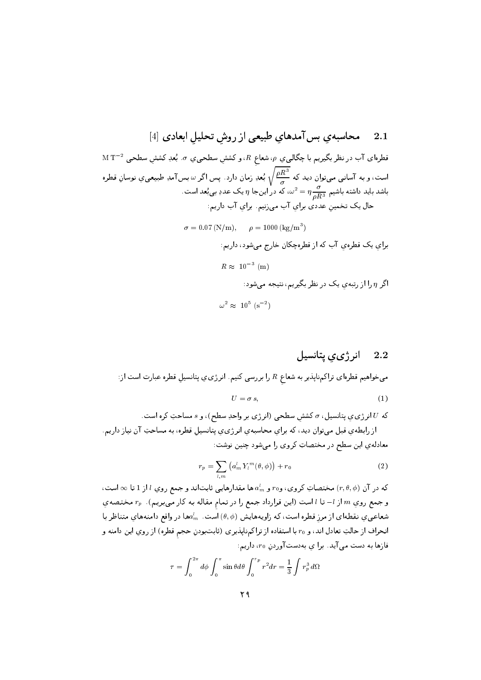$\rm M\ T^{-2}$  قطرهای آب در نظر بگیریم با چگالی یِ  $\rho$ ، شعاع  $R$ ، و کشش سطحی یِ  $\sigma$  . بُعدِ کشش سطحی  $^{-2}$ است، و به آسانی میتوان دید که  $\frac{\rho R^3}{\sigma}$  بُعدِ زمان دارد. پس اگر  $\omega$  بس آمدِ طبیعی $z$  نوسانِ قطره باشد باید داشته باشیم  $\frac{\sigma}{aB^3}=\pi\frac{\sigma}{\sigma^2}$ ، که در اینجا  $\eta$  یک عددِ بیبُعد است. حال یک تخمین عددی برای آب می زنیم. برای آب داریم:

> $\sigma = 0.07 (N/m), \quad \rho = 1000 (kg/m^3)$ برای یک قطرهی آب که از قطرهچکان خارج میشود، داریم:  $R \approx 10^{-3}$  (m) اگر  $\eta$  را از رتبهی یک در نظر بگیریم، نتیجه می شود:  $\omega^2 \approx 10^5$  (s<sup>-2</sup>)

#### انرژی ی پتانسیل 2.2

میخواهیم قطرهای تراکمهناپذیر به شعاع  $R$  را بررسی کنیم. انرژی و پتانسیل قطره عبارت است از:  $U = \sigma s$ ,  $(1)$ 

که U انرژی ی پتانسیل، r کشش سطحی (انرژی بر واحدِ سطح)، و s مساحتِ کره است. از رابطه ی قبل میتوان دید، که برای محاسبهی انرژی ی پتانسیل قطره، به مساحتِ آن نیاز داریم. معادلهی این سطح در مختصاتِ کروی را میشود چنین نوشت:

$$
r_p = \sum_{l,m} \left( a_m^l Y_l^m(\theta, \phi) \right) + r_0 \tag{2}
$$

که در آن  $(r,\theta,\phi)$  مختصاتِ کروی، و $r$ و  $a^l_m$  ها مقدارهایی ثابتاند و جمع روی  $l$ از 1 تا $\infty$  است، و جمع روي  $m$  از  $l$ – تا  $l$  است (اين قرارداد جمع را در تمام مقاله به كار مىبريم).  $r_p$  مختصهي شعاعی یِ نقطهای از مرز قطره است، که زاویههایش  $(\theta,\phi)$  است.  $a_m^l$ ها در واقع دامنههای متناظر با انحراف از حالتِ تعادل اند، و r، با استفاده از تراكمهناپذيري (ثابتبودنِ حجم قطره) از روي اين دامنه و فازها به دست می آید. برا ی بهدست آوردن  $r_0$ ، داریم:

$$
\tau = \int_0^{2\pi} d\phi \int_0^{\pi} \sin \theta d\theta \int_0^{r_p} r^2 dr = \frac{1}{3} \int r_p^3 d\Omega
$$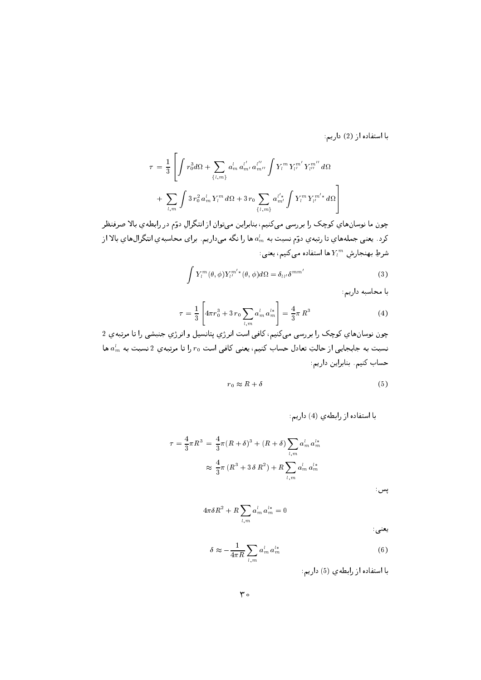با استفاده از (2) داریم:

$$
\tau = \frac{1}{3} \left[ \int r_0^3 d\Omega + \sum_{\{l,m\}} a_m^l a_{m'}^{l'} a_{m''}^{l''} \int Y_l^m Y_{l'}^{m'} Y_{l''}^{m''} d\Omega \right. \\ + \sum_{l,m} \int 3 r_0^2 a_m^l Y_l^m d\Omega + 3 r_0 \sum_{\{l,m\}} a_{m'}^{l' *} \int Y_l^m Y_{l'}^{m'*} d\Omega \right]
$$

چون ما نوسانهای کوچک را بررسی میکنیم، بنابراین میتوان از انتگرال دوّم در رابطهی بالا صرفنظر کرد . یعنی جملههای تا رتبهی دوّم نسبت به  $a_m^l$  ها را نگه میداریم. برای محاسبهی انتگرالهای بالا از شرطِ بهنجارش  $Y_l^m$  ها استفاده میکنیم، یعنی:

$$
\int Y_l^m(\theta,\phi)Y_{l'}^{m'*}(\theta,\phi)d\Omega = \delta_{ll'}\delta^{mm'}
$$
\n(3)

با محاسبه داریم:

$$
\tau = \frac{1}{3} \left[ 4\pi r_0^3 + 3 r_0 \sum_{l,m} a_m^l a_m^{l*} \right] = \frac{4}{3} \pi R^3 \tag{4}
$$

چون نوسانهاي كوچک را بررسي ميکنيم، کافي است انرژي پتانسيل و انرژي جنبشي را تا مرتبهي 2 نسبت به جابجایی از حالتِ تعادل حساب کنیم، یعنی کافی است  $r_0$  را تا مرتبهی 2 نسبت به  $a_m^l$  ها حساب كنيم. بنابراين داريم:

$$
r_0 \approx R + \delta \tag{5}
$$

با استفاده از رابطهی (4) داریم:

$$
\tau = \frac{4}{3}\pi R^3 = \frac{4}{3}\pi (R+\delta)^3 + (R+\delta) \sum_{l,m} a_m^l a_m^{l*}
$$

$$
\approx \frac{4}{3}\pi (R^3 + 3\delta R^2) + R \sum_{l,m} a_m^l a_m^{l*}
$$

پس :

$$
4\pi\delta R^2+R\sum_{l,m}a^l_m\,a^{l*}_m=0
$$
 
$$
\vdots
$$

$$
\delta \approx -\frac{1}{4\pi R} \sum_{l,m} a_m^l a_m^{l*} \tag{6}
$$

با استفاده از رابطهی (5) داریم: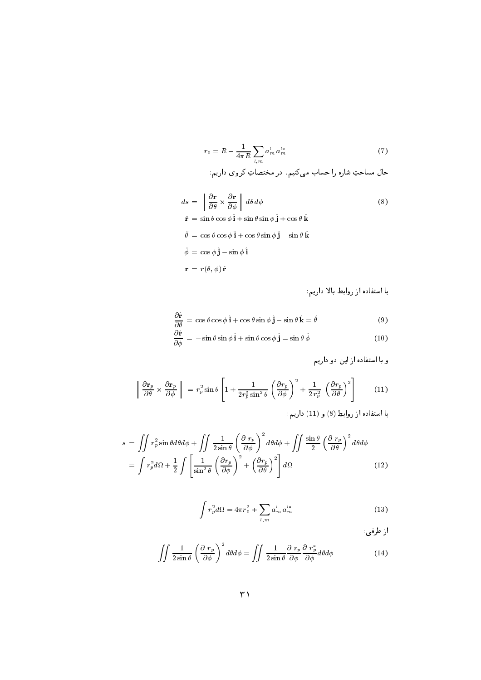$$
r_0 = R - \frac{1}{4\pi R} \sum_{l,m} a_m^l a_m^{l*} \tag{7}
$$

$$
ds = \left[ \frac{\partial \mathbf{r}}{\partial \theta} \times \frac{\partial \mathbf{r}}{\partial \phi} \right] d\theta d\phi
$$
(8)  

$$
\hat{\mathbf{r}} = \sin \theta \cos \phi \hat{\mathbf{i}} + \sin \theta \sin \phi \hat{\mathbf{j}} + \cos \theta \hat{\mathbf{k}}
$$
  

$$
\hat{\theta} = \cos \theta \cos \phi \hat{\mathbf{i}} + \cos \theta \sin \phi \hat{\mathbf{j}} - \sin \theta \hat{\mathbf{k}}
$$
  

$$
\hat{\phi} = \cos \phi \hat{\mathbf{j}} - \sin \phi \hat{\mathbf{i}}
$$
  

$$
\mathbf{r} = r(\theta, \phi) \hat{\mathbf{r}}
$$

با استفاده از روابطِ بالا داریم:

$$
\frac{\partial \hat{\mathbf{r}}}{\partial \theta} = \cos \theta \cos \phi \, \hat{\mathbf{i}} + \cos \theta \sin \phi \, \hat{\mathbf{j}} - \sin \theta \, \hat{\mathbf{k}} = \hat{\theta}
$$
 (9)

$$
\frac{\partial \hat{\mathbf{r}}}{\partial \phi} = -\sin \theta \sin \phi \,\hat{\mathbf{i}} + \sin \theta \cos \phi \,\hat{\mathbf{j}} = \sin \theta \,\hat{\phi} \tag{10}
$$

$$
\left| \frac{\partial \mathbf{r}_p}{\partial \theta} \times \frac{\partial \mathbf{r}_p}{\partial \phi} \right| = r_p^2 \sin \theta \left[ 1 + \frac{1}{2r_p^2 \sin^2 \theta} \left( \frac{\partial r_p}{\partial \phi} \right)^2 + \frac{1}{2r_p^2} \left( \frac{\partial r_p}{\partial \theta} \right)^2 \right] \tag{11}
$$

$$
s = \iint r_p^2 \sin \theta d\theta d\phi + \iint \frac{1}{2 \sin \theta} \left(\frac{\partial r_p}{\partial \phi}\right)^2 d\theta d\phi + \iint \frac{\sin \theta}{2} \left(\frac{\partial r_p}{\partial \theta}\right)^2 d\theta d\phi
$$
  
= 
$$
\int r_p^2 d\Omega + \frac{1}{2} \int \left[\frac{1}{\sin^2 \theta} \left(\frac{\partial r_p}{\partial \phi}\right)^2 + \left(\frac{\partial r_p}{\partial \theta}\right)^2\right] d\Omega
$$
 (12)

$$
\int r_p^2 d\Omega = 4\pi r_0^2 + \sum_{l,m} a_m^l a_m^{l*} \tag{13}
$$

از طرفي:

$$
\iint \frac{1}{2\sin\theta} \left(\frac{\partial \ r_p}{\partial \phi}\right)^2 d\theta d\phi = \iint \frac{1}{2\sin\theta} \frac{\partial \ r_p}{\partial \phi} \frac{\partial \ r_p^*}{\partial \phi} d\theta d\phi \tag{14}
$$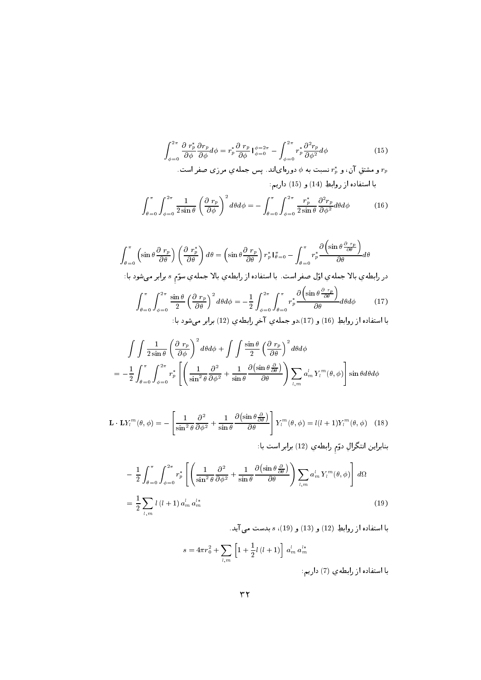$$
\int_{\phi=0}^{2\pi} \frac{\partial \ r_p^*}{\partial \phi} \frac{\partial r_p}{\partial \phi} d\phi = r_p^* \frac{\partial \ r_p}{\partial \phi} \Big|_{\phi=0}^{\phi=2\pi} - \int_{\phi=0}^{2\pi} r_p^* \frac{\partial^2 r_p}{\partial \phi^2} d\phi \tag{15}
$$

و مشتقِ آن، و  $r_p^*$  نسبت به  $\phi$  دورهایاند. پس جملهیِ مرزی صفر است  $r_p$ با استفاده از روابطِ (14) و (15) داریم:

$$
\int_{\theta=0}^{\pi} \int_{\phi=0}^{2\pi} \frac{1}{2\sin\theta} \left(\frac{\partial r_p}{\partial \phi}\right)^2 d\theta d\phi = -\int_{\theta=0}^{\pi} \int_{\phi=0}^{2\pi} \frac{r_p^*}{2\sin\theta} \frac{\partial^2 r_p}{\partial \phi^2} d\theta d\phi \tag{16}
$$

$$
\int \int \frac{1}{2 \sin \theta} \left(\frac{\partial r_p}{\partial \phi}\right)^2 d\theta d\phi + \int \int \frac{\sin \theta}{2} \left(\frac{\partial r_p}{\partial \theta}\right)^2 d\theta d\phi
$$
  
=  $-\frac{1}{2} \int_{\theta=0}^{\pi} \int_{\phi=0}^{2\pi} r_p^* \left[ \left(\frac{1}{\sin^2 \theta} \frac{\partial^2}{\partial \phi^2} + \frac{1}{\sin \theta} \frac{\partial (\sin \theta \frac{\partial}{\partial \theta})}{\partial \theta}\right) \sum_{l,m} a_m^l Y_l^m(\theta, \phi) \right] \sin \theta d\theta d\phi$ 

$$
\mathbf{L} \cdot \mathbf{L} Y_l^m(\theta, \phi) = -\left[\frac{1}{\sin^2 \theta} \frac{\partial^2}{\partial \phi^2} + \frac{1}{\sin \theta} \frac{\partial (\sin \theta \frac{\partial}{\partial \theta})}{\partial \theta} \right] Y_l^m(\theta, \phi) = l(l+1) Y_l^m(\theta, \phi) \quad (18)
$$

$$
-\frac{1}{2} \int_{\theta=0}^{\pi} \int_{\phi=0}^{2\pi} r_p^* \left[ \left( \frac{1}{\sin^2 \theta} \frac{\partial^2}{\partial \phi^2} + \frac{1}{\sin \theta} \frac{\partial (\sin \theta \frac{\partial}{\partial \theta})}{\partial \theta} \right) \sum_{l,m} a_m^l Y_l^m(\theta, \phi) \right] d\Omega
$$
  
= 
$$
\frac{1}{2} \sum_{l,m} l(l+1) a_m^l a_m^{l*}
$$
(19)

با استفاده از روابطِ (12) و (13) و (19)، s بدست می آید.

$$
s = 4\pi r_0^2 + \sum_{l,m} \left[ 1 + \frac{1}{2}l\left(l+1\right) \right] \, a_m^l \, a_m^{l*}
$$
\nl m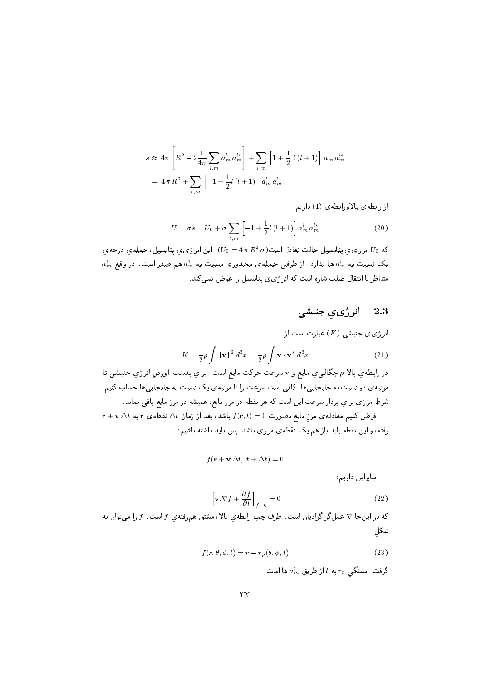$$
s \approx 4\pi \left[ R^2 - 2\frac{1}{4\pi} \sum_{l,m} a_m^l a_m^{l*} \right] + \sum_{l,m} \left[ 1 + \frac{1}{2} l(l+1) \right] a_m^l a_m^{l*}
$$
  
=  $4 \pi R^2 + \sum_{l,m} \left[ -1 + \frac{1}{2} l(l+1) \right] a_m^l a_m^{l*}$ 

از رابطهى بالاورابطهى (1) داريم:

$$
U = \sigma s = U_0 + \sigma \sum_{l,m} \left[ -1 + \frac{1}{2} l \left( l + 1 \right) \right] a_m^l a_m^{l*} \tag{20}
$$

که  $U_0$  انرژی ی پتانسیل حالتِ تعادل است $\sigma=(U_0=4\,\pi\,R^2\,\sigma)$ . این انرژی ی پتانسیل، جمله ی درجه ی  $a_m^1$  یک نسبت به  $a_m^l$  ها ندارد. از طرفبی جملهی مجذوری نسبت به  $a_m^1$  هم صفر است. در واقع متناظر با انتقال صلب شاره است که انرژی ی پتانسیل را عوض نمی کند.

#### انرژي ي جنبشي 2.3

ازژوي جنبشی (K) عبارت است از:  
\n
$$
K = \frac{1}{2}\rho \int |\mathbf{v}|^2 d^3x = \frac{1}{2}\rho \int \mathbf{v} \cdot \mathbf{v}^* d^3x
$$
\n(21)

در رابطهی بالا p چگالبی ی مایع و v سرعتِ حرکتِ مایع است. برای بدست آوردن انرژی جنبشی تا مرتبه ی دو نسبت به جابجاییها، کافی است سرعت را تا مرتبه ی یک نسبت به جابجاییها حساب کنیم. شرطِ مرزی برای بردار سرعت این است که هر نقطه در مرز مایع، همیشه در مرز مایع باقی بماند.  ${\bf r}+{\bf v}\bigtriangleup t$  فرض کنیم معادلهی مرز مایع بصورتِ  $f({\bf r},t)=f({\bf r},t)$  باشد، بعد از زمان  $\bigtriangleup t$  نقطهی  ${\bf r}$  به رفته، و این نقطه باید باز هم یک نقطهی مرزی باشد، پس باید داشته باشیم:

$$
f(\mathbf{r} + \mathbf{v} \, \Delta t, \ t + \Delta t) = 0
$$

بنابراین داریم:

$$
\left[\mathbf{v}.\nabla f + \frac{\partial f}{\partial t}\right]_{f=0} = 0\tag{22}
$$

که در اینجا  $\nabla$  عملگر گرادیان است. طرفِ چپ رابطهیِ بالا، مشتقِ همرفتهیِ  $f$  است.  $f$  را میتوان به شكل

$$
f(r, \theta, \phi, t) = r - r_p(\theta, \phi, t)
$$
\n(23)

گرفت. بستگی  $r_{\it p}$  به  $t$  از طریق  $a^l_m$  ها است.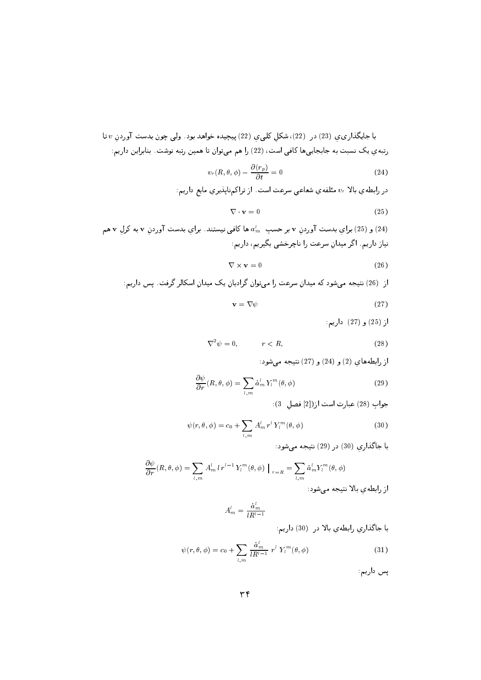با جايگذاري، (23) در (22)، شكل كلبي، (22) پيچيده خواهد بود. ولبي چون بدست آوردن v تا رتبهی یک نسبت به جابجاییها کافی است، (22) را هم میتوان تا همین رتبه نوشت. بنابراین داریم:

$$
v_r(R, \theta, \phi) - \frac{\partial(r_p)}{\partial t} = 0 \tag{24}
$$

در رابطه ی بالا  $v_r$  مئلفه ی شعاعی سرعت است. از تراکمنایذیری مایع داریم:

$$
\nabla \cdot \mathbf{v} = 0 \tag{25}
$$

و (25) برای بدست آوردن v بر حسب  $a_m^l$  ها کافی نیستند. برای بدست آوردن v به کرل v هم  $(24)$ نیاز داریم. اگر میدان سرعت را ناچرخشی بگیریم، داریم:

$$
\nabla \times \mathbf{v} = 0 \tag{26}
$$

$$
\mathbf{v} = \nabla \psi \tag{27}
$$

از (25) و (27) داريم:

$$
\nabla^2 \psi = 0, \qquad \qquad r < R,\tag{28}
$$

از رابطههای (2) و (24) و (27) نتیجه می شود:

$$
\frac{\partial \psi}{\partial r}(R,\theta,\phi) = \sum_{l,m} \dot{a}_m^l Y_l^m(\theta,\phi)
$$
\n(29)

جواب (28) عبارت است از ([2] فصل (3):

$$
\psi(r,\theta,\phi) = c_0 + \sum_{l,m} A_m^l r^l Y_l^m(\theta,\phi)
$$
\n(30)

با جاگذاري (30) در (29) نتيجه مي شود:

$$
\frac{\partial \psi}{\partial r}(R, \theta, \phi) = \sum_{l,m} A_m^l l r^{l-1} Y_l^m(\theta, \phi) \Big|_{r=R} = \sum_{l,m} \dot{a}_m^l Y_l^m(\theta, \phi)
$$
از رابطوي بالا تتیجه میشود:

$$
A_m^l = \frac{\dot{a}_m^l}{lR^{l-1}}
$$

با جاگذاری رابطهی بالا در (30) داریم:

$$
\psi(r,\theta,\phi) = c_0 + \sum_{l,m} \frac{\dot{a}_m^l}{lR^{l-1}} \ r^l \ Y_l^m(\theta,\phi) \tag{31}
$$

یس داریم: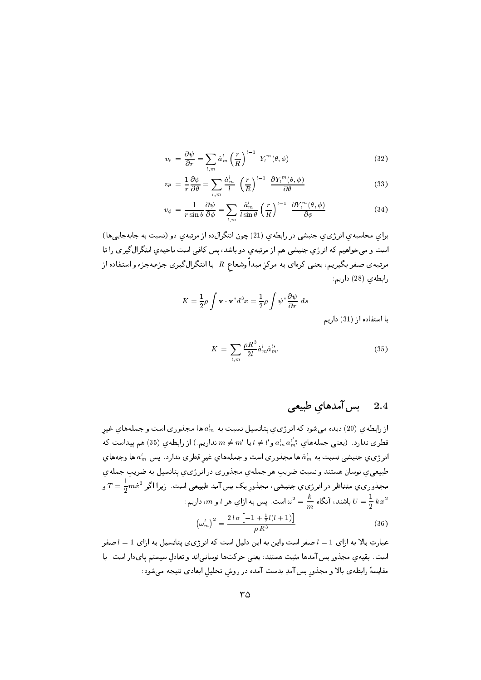$$
v_r = \frac{\partial \psi}{\partial r} = \sum_{l,m} \dot{a}_m^l \left(\frac{r}{R}\right)^{l-1} Y_l^m(\theta, \phi)
$$
\n(32)

$$
v_{\theta} = \frac{1}{r} \frac{\partial \psi}{\partial \theta} = \sum_{l,m} \frac{\dot{a}_m^l}{l} \left(\frac{r}{R}\right)^{l-1} \frac{\partial Y_l^m(\theta, \phi)}{\partial \theta} \tag{33}
$$

$$
v_{\phi} = \frac{1}{r \sin \theta} \frac{\partial \psi}{\partial \phi} = \sum_{l,m} \frac{\dot{a}_m^l}{l \sin \theta} \left(\frac{r}{R}\right)^{l-1} \frac{\partial Y_l^m(\theta, \phi)}{\partial \phi} \tag{34}
$$

برای محاسبه ی انرژی ی جنبشی در رابطه ی (21) چون انتگرال(ه از مرتبه ی دو (نسبت به جابهجایی ها) است و میخواهیم که انرژی جنبشی هم از مرتبهی دو باشد، پس کافی است ناحیهی انتگرال گیری را تا مرتبه *ي صفر* بگيريم، يعني كرهاي به مركزِ مبداً وشعاع R . با انتگرالگيري جزءبهجزء و استفاده از رابطه ی (28) داریم:

$$
K = \frac{1}{2}\rho \int \mathbf{v} \cdot \mathbf{v}^* d^3 x = \frac{1}{2}\rho \int \psi^* \frac{\partial \psi}{\partial r} ds
$$

با استفاده از (31) داریم:

$$
K = \sum_{l,m} \frac{\rho R^3}{2l} \dot{a}_m^l \dot{a}_m^{l*}.
$$
 (35)

بس آمدهای طبیعی 2.4

از رابطهی (20) دیده میشود که انرژی $\sigma$  پتانسیل نسبت به  $a^l_m$  ها مجذوری است و جملههای غیر قطری ندارد. (یعنبی جملههای  $a^{l*}_{m}$  و $l' \neq l'$  یا  $m \neq m'$  نداریم.) از رابطه $(35)$  هم پیداست که انرژی $\sigma$  جنبشی نسبت به  $a_m^l$  ها مجذوری است و جملههای غیر قطری ندارد . پس  $a_m^l$  ها وجههای طبیعیی نوسان هستند و نسبتِ ضریبِ هر جملهی مجذوری در انرژی ی پتانسیل به ضریبِ جملهی مجلدوري ي متناظر در انرژي ي جنبشي، مجلدور يک بس آمدِ طبيعي است. زيرا اگر  $T=\frac{1}{2}m\dot{x}^2$  و باشند، آنگاه  $\frac{k}{m}=\frac{k}{m}$ است. پس به ازاي هر  $l$  و  $m$ ، داريم:  $U=\frac{1}{2}\,k\,x^2$  $\left(\omega_m^l\right)^2 = \frac{2 l \sigma \left[-1 + \frac{1}{2} l (l+1)\right]}{e R^3}$  $(36)$ 

عبارتِ بالا به ازاى 1 = 1 صفر است واين به اين دليل است كه انرژىي پتانسيل به ازاى 1 = 1 صفر است. بقیهی مجذور بس آمدها مثبت هستند، یعنبی حرکتها نوسانی اند و تعادل سیستم پایدار است. با مقایسهٔ رابطهی بالا و مجذور بس آمدِ بدست آمده در روش تحلیل ابعادی نتیجه میشود: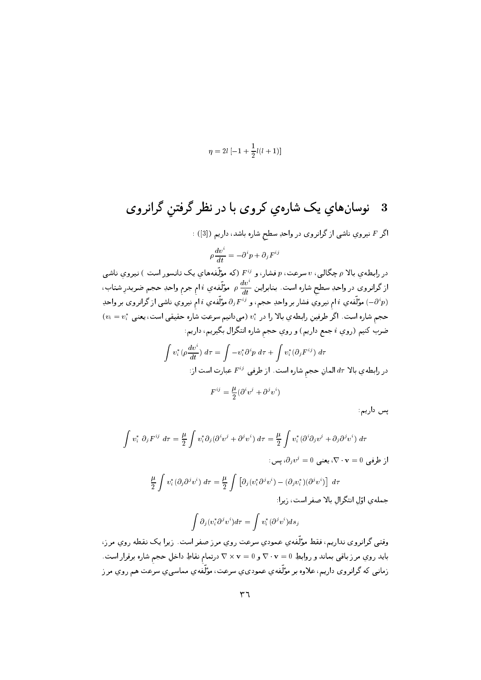$$
\eta=2l\left[-1+\frac{1}{2}l(l+1)\right]
$$

اگر F نیرویِ ناشی از گرانروی در واحدِ سطح شاره باشد، داریم ([3]) :

$$
\rho \frac{dv^i}{dt} = -\partial^i p + \partial_j F^{ij}
$$

در رابطهي بالا p چگالي، v سرعت، p فشار، و F<sup>ij</sup> (كه مؤلّفههاي يک تانسور است ) نيروي ناشي از گرانروی در واحدِ سطح شاره است. بنابراین  $\frac{dv^i}{dt}$  مؤلّفهیِ  $i$  امِ جرمِ واحدِ حجم ضربدرِ شتاب، مؤلِّفه ي i ام نيروي فشار بر واحدِ حجم، و  $\partial_j F^{ij}$  مؤلِّفه ي i ام نيروي ناشى از گرانروى بر واحدِ  $(-\partial^ip)$  $\left(v_{i}=v_{i}^{*}\right.$ حجم شاره است. اگر طرفينِ رابطه ي بالا را در  $v_{i}^{*}$  (مىدانيم سرعتِ شاره حقيقى است، يعنى ضرب کنیم (روي i جمع داریم) و روي حجم شاره انتگرال بگيريم، داريم:

$$
\int v_i^*(\rho \frac{dv^i}{dt}) d\tau = \int -v_i^* \partial^i p \ d\tau + \int v_i^*(\partial_j F^{ij}) d\tau
$$
  
در رابطهي بالا  $\tau$ ه الماني حجمٔ شاره است. از طرفی  $F^{ij}$  عبارت است از:

 $F^{ij} = \frac{\mu}{2} (\partial^i v^j + \partial^j v^i)$ 

يس داريم:

$$
\int v_i^* \, \partial_j F^{ij} \, d\tau = \frac{\mu}{2} \int v_i^* \partial_j (\partial^i v^j + \partial^j v^i) \, d\tau = \frac{\mu}{2} \int v_i^* (\partial^i \partial_j v^j + \partial_j \partial^j v^i) \, d\tau
$$
\n
$$
\vdots \qquad \vdots \qquad \vdots \qquad \vdots \qquad \vdots \qquad \vdots \qquad \vdots \qquad \vdots \qquad \vdots \qquad \vdots \qquad \vdots \qquad \vdots \qquad \vdots \qquad \vdots \qquad \vdots \qquad \vdots \qquad \vdots \qquad \vdots \qquad \vdots \qquad \vdots \qquad \vdots \qquad \vdots \qquad \vdots \qquad \vdots \qquad \vdots \qquad \vdots \qquad \vdots \qquad \vdots \qquad \vdots \qquad \vdots \qquad \vdots \qquad \vdots \qquad \vdots \qquad \vdots \qquad \vdots \qquad \vdots \qquad \vdots \qquad \vdots \qquad \vdots \qquad \vdots \qquad \vdots \qquad \vdots \qquad \vdots \qquad \vdots \qquad \vdots \qquad \vdots \qquad \vdots \qquad \vdots \qquad \vdots \qquad \vdots \qquad \vdots \qquad \vdots \qquad \vdots \qquad \vdots \qquad \vdots \qquad \vdots \qquad \vdots \qquad \vdots \qquad \vdots \qquad \vdots \qquad \vdots \qquad \vdots \qquad \vdots \qquad \vdots \qquad \vdots \qquad \vdots \qquad \vdots \qquad \vdots \qquad \vdots \qquad \vdots \qquad \vdots \qquad \vdots \qquad \vdots \qquad \vdots \qquad \vdots \qquad \vdots \qquad \vdots \qquad \vdots \qquad \vdots \qquad \vdots \qquad \vdots \qquad \vdots \qquad \vdots \qquad \vdots \qquad \vdots \qquad \vdots \qquad \vdots \qquad \vdots \qquad \vdots \qquad \vdots \qquad \vdots \qquad \vdots \qquad \vdots \qquad \vdots \qquad \vdots \qquad \vdots \qquad \vdots \qquad \vdots \qquad \vdots \qquad \vdots \qquad \vdots \qquad \vdots \qquad \vdots \qquad \vdots \qquad \vdots \qquad \vdots \qquad \vdots \qquad \vdots \qquad \vdots \
$$

$$
\frac{\mu}{2} \int v_i^* (\partial_j \partial^j v^i) \, d\tau = \frac{\mu}{2} \int \left[ \partial_j (v_i^* \partial^j v^i) - (\partial_j v_i^*) (\partial^j v^i) \right] \, d\tau
$$
میلەي اۆل انتگرال بالا صفر است، زىرا:

$$
\int \partial_j(v_i^*\partial^jv^i)d\tau=\int v_i^*(\partial^jv^i)ds_j
$$

وقتي گرانروي نداريم، فقط مؤلَّفهي عمودي سرعت روي مرز صفر است. زيرا يک نقطه روي مرز، بايد روي مرز باقبي بماند و روابطِ v · v = 0 و v × v = 0 درتمام نقاطِ داخلِ حجم شاره برقرار است. زماني که گرانروي داريم، علاوه بر مؤلَّفهي عموديءِ سرعت، مؤلَّفهي مماسيءِ سرعت هم روي مرز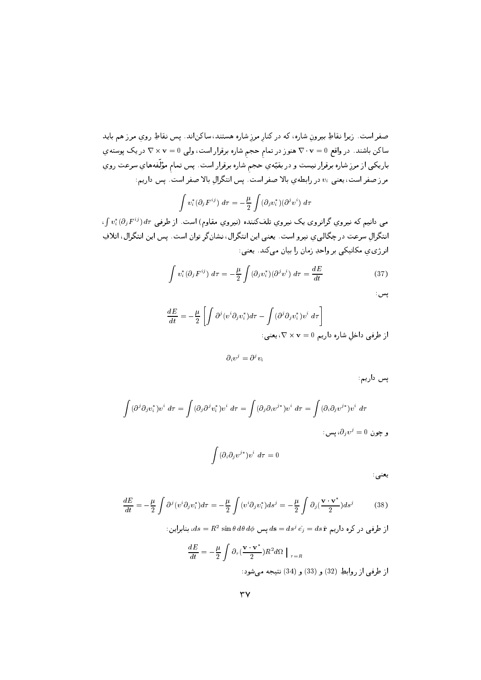صفر است. زيرا نقاطِ بيرونِ شاره، كه در كنار مرز شاره هستند، ساكن!ند. پس نقاطِ روي مرز هم بايد ساکن باشند. در واقع v - v = 0هنوز در تمام حجم شاره برقرار است، ولی v = 0 × v در یک پوسته ي باريكي از مرزِ شاره برقرار نيست و در بقيّهي حجم شاره برقرار است. پس تمام مؤلّفههاي سرعت روي مرز صفر است، یعنی ،v در رابطهی بالا صفر است. پس انتگرال بالا صفر است. پس داریم:

$$
\int v_i^*(\partial_j F^{ij}) d\tau = -\frac{\mu}{2} \int (\partial_j v_i^*)(\partial^j v^i) d\tau
$$

 $\iota \int v_i^* (\partial_j F^{ij}) \, d\tau$  می دانیم که نیروی گرانروی تلفکننده (نیروی مقاوم) است. از طرفی  $\tau$ انتگرال سرعت در چگالی ی نیرو است. یعنی این انتگرال، نشانگر توان است. پس این انتگرال، اتلافِ انرژي ي مكانيكي بر واحدِ زمان را بيان مي كند. يعني:

$$
\int v_i^*(\partial_j F^{ij}) d\tau = -\frac{\mu}{2} \int (\partial_j v_i^*)(\partial^j v^i) d\tau = \frac{dE}{dt}
$$
\n(37)

$$
\frac{dE}{dt} = -\frac{\mu}{2} \left[ \int \partial^j (v^i \partial_j v_i^*) d\tau - \int (\partial^j \partial_j v_i^*) v^i \ d\tau \right]
$$
  
|-
$$
\nabla \times \mathbf{v} = 0
$$

 $\partial_i v^j = \partial^j v_i$ 

یس داریم:

پس

$$
\int (\partial^j \partial_j v_i^*) v^i \, d\tau = \int (\partial_j \partial^j v_i^*) v^i \, d\tau = \int (\partial_j \partial_i v^{j*}) v^i \, d\tau = \int (\partial_i \partial_j v^{j*}) v^i \, d\tau
$$
  

$$
\vdots \qquad \qquad \vdots \qquad \vdots \qquad \vdots \qquad \vdots \qquad \vdots \qquad \vdots \qquad \vdots \qquad \vdots \qquad \vdots \qquad \vdots \qquad \vdots \qquad \vdots \qquad \vdots \qquad \vdots \qquad \vdots \qquad \vdots \qquad \vdots \qquad \vdots \qquad \vdots \qquad \vdots \qquad \vdots \qquad \vdots \qquad \vdots \qquad \vdots \qquad \vdots \qquad \vdots \qquad \vdots \qquad \vdots \qquad \vdots \qquad \vdots \qquad \vdots \qquad \vdots \qquad \vdots \qquad \vdots \qquad \vdots \qquad \vdots \qquad \vdots \qquad \vdots \qquad \vdots \qquad \vdots \qquad \vdots \qquad \vdots \qquad \vdots \qquad \vdots \qquad \vdots \qquad \vdots \qquad \vdots \qquad \vdots \qquad \vdots \qquad \vdots \qquad \vdots \qquad \vdots \qquad \vdots \qquad \vdots \qquad \vdots \qquad \vdots \qquad \vdots \qquad \vdots \qquad \vdots \qquad \vdots \qquad \vdots \qquad \vdots \qquad \vdots \qquad \vdots \qquad \vdots \qquad \vdots \qquad \vdots \qquad \vdots \qquad \vdots \qquad \vdots \qquad \vdots \qquad \vdots \qquad \vdots \qquad \vdots \qquad \vdots \qquad \vdots \qquad \vdots \qquad \vdots \qquad \vdots \qquad \vdots \qquad \vdots \qquad \vdots \qquad \vdots \qquad \vdots \qquad \vdots \qquad \vdots \qquad \vdots \qquad \vdots \qquad \vdots \qquad \vdots \qquad \vdots \qquad \vdots \qquad \vdots \qquad \vdots \qquad \vdots \qquad \vdots \qquad \vdots \qquad \vdots \qquad \vdots \qquad \vdots \qquad \vdots \qquad \vdots \qquad \vdots \qquad \vdots \qquad \vdots \qquad \vdots \qquad \vdots \qquad \vdots \qquad \vdots \qquad \
$$

 $\int (\partial_i \partial_j v^{j*}) v^i \, d\tau = 0$ 

يعنى

$$
\frac{dE}{dt} = -\frac{\mu}{2} \int \partial^j (v^i \partial_j v_i^*) d\tau = -\frac{\mu}{2} \int (v^i \partial_j v_i^*) ds^j = -\frac{\mu}{2} \int \partial_j (\frac{\mathbf{v} \cdot \mathbf{v}^*}{2}) ds^j \tag{38}
$$

از طرفی در کره داریم  $ds = ds^j \hat{e_j} = ds^j = ds^j$ ، بنابراین: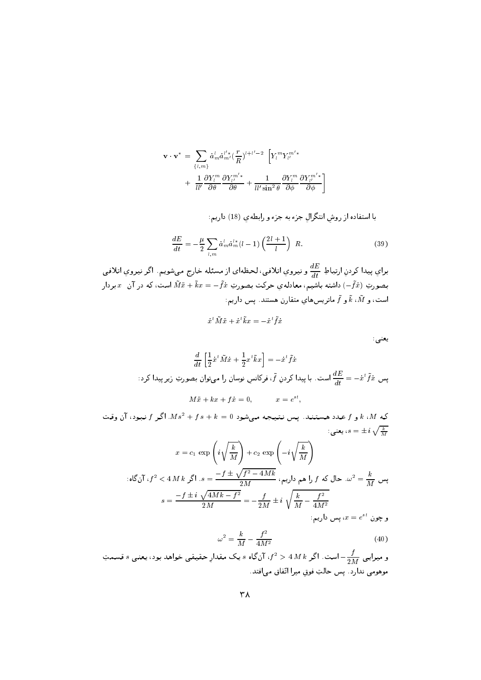$$
\mathbf{v} \cdot \mathbf{v}^* = \sum_{\{l,m\}} \dot{a}_m^l \dot{a}_{m'}^{l'*} \left(\frac{r}{R}\right)^{l+l'-2} \left[ Y_l^m Y_{l'}^{m'*}\n+ \frac{1}{ll'} \frac{\partial Y_l^m}{\partial \theta} \frac{\partial Y_l^{m'*}}{\partial \theta} + \frac{1}{ll' \sin^2 \theta} \frac{\partial Y_l^m}{\partial \phi} \frac{\partial Y_l^{m'*}}{\partial \phi} \right]
$$

با استفاده از روش انتگرال جزء به جزء و رابطه ی (18) داریم:

$$
\frac{dE}{dt} = -\frac{\mu}{2} \sum_{l,m} \dot{a}_m^l \dot{a}_m^{l*} (l-1) \left(\frac{2l+1}{l}\right) R. \tag{39}
$$

براي پيدا كردنِ ارتباطِ  $\frac{dE}{dt}$  و نيروي اتلافى، لحظهاى از مسئله خارج مىشويم. اگر نيروي اتلافى بصورتِ (ج $\tilde{f}$ ) داشته باشیم، معادلهی حرکت بصورتِ  $\tilde{f}x=-\tilde{f}x+\tilde{x}$  است، که در آن  $x$  بردار است، و  $\tilde{k}$ ،  $\tilde{k}$  و  $\tilde{f}$  ماتریس های متقارن هستند. پس داریم:

 $\dot{x}^t \tilde{M} \ddot{x} + \dot{x}^t \tilde{k} x = -\dot{x}^t \tilde{f} \dot{x}$ 

يعنى:

$$
\frac{d}{dt}\left[\frac{1}{2}\dot{x}^t\tilde{M}\dot{x} + \frac{1}{2}x^t\tilde{k}x\right] = -\dot{x}^t\tilde{f}\dot{x}
$$
\n
$$
\vdots
$$
\n
$$
\frac{dE}{dt} = -\dot{x}^t\tilde{f}\dot{x}
$$
\n
$$
\text{and} \quad \text{and} \quad \text{and} \quad \text{and} \quad \text{and} \quad \frac{dE}{dt} = -\dot{x}^t\tilde{f}\dot{x}
$$
\n
$$
M\ddot{x} + kx + f\dot{x} = 0, \qquad \quad x = e^{st},
$$

که  $k$ ،  $M$  و  $f$  عدد هستند. پس نتیجه میشود  $k=0,1$  +  $k^2 + 1$ . اگر  $f$  نبود، آن وقت يعني:  $s=\pm\,i\,\sqrt{\frac{k}{M}}$ 

$$
x = c_1 \exp\left(i\sqrt{\frac{k}{M}}\right) + c_2 \exp\left(-i\sqrt{\frac{k}{M}}\right)
$$

$$
s = \frac{-f \pm \sqrt{f^2 - 4Mk}}{2M} \cdot \int f \cdot d\omega \cdot d\omega = \frac{k}{M} \cdot \omega^2 = \frac{k}{M} \cdot \omega^2
$$

$$
s = \frac{-f \pm i\sqrt{4Mk - f^2}}{2M} = -\frac{f}{2M} \pm i\sqrt{\frac{k}{M} - \frac{f^2}{4M^2}}
$$

$$
x = e^{st}
$$

$$
\omega^2 = \frac{k}{M} - \frac{f^2}{4M^2} \tag{40}
$$

و میرایی  $\frac{f}{2\,M\,k}$  است. اگر  $4\,M\,k > 4\,M\,k$  آنگاه  $s$  یک مقدارِ حقیقی خواهد بود، یعنی  $s$  قسمتِ موهومی ندارد. پس حالتِ فوق میرا اتّفاق می افتد.